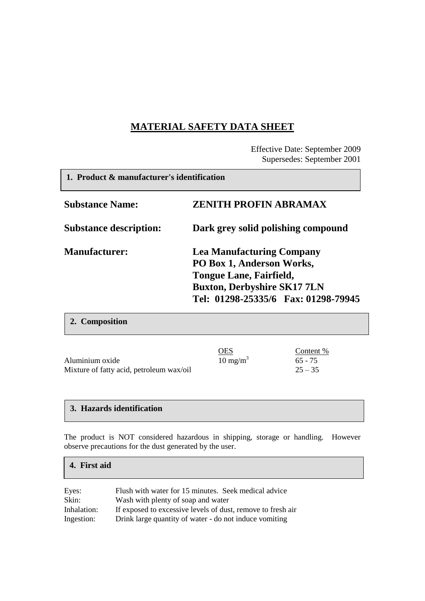# **MATERIAL SAFETY DATA SHEET**

Effective Date: September 2009 Supersedes: September 2001

 $\overline{\phantom{a}}$ 

| 1. Product & manufacturer's identification |                                                                                                                                                                              |
|--------------------------------------------|------------------------------------------------------------------------------------------------------------------------------------------------------------------------------|
| <b>Substance Name:</b>                     | <b>ZENITH PROFIN ABRAMAX</b>                                                                                                                                                 |
| <b>Substance description:</b>              | Dark grey solid polishing compound                                                                                                                                           |
| <b>Manufacturer:</b>                       | <b>Lea Manufacturing Company</b><br>PO Box 1, Anderson Works,<br><b>Tongue Lane, Fairfield,</b><br><b>Buxton, Derbyshire SK17 7LN</b><br>Tel: 01298-25335/6 Fax: 01298-79945 |

|                                          | <u>OES</u>          | Content % |
|------------------------------------------|---------------------|-----------|
| Aluminium oxide                          | $10 \text{ mg/m}^3$ | $65 - 75$ |
| Mixture of fatty acid, petroleum wax/oil |                     | $25 - 35$ |

#### **3. Hazards identification**

**2. Composition**

The product is NOT considered hazardous in shipping, storage or handling. However observe precautions for the dust generated by the user.

#### **4. First aid**

| Eyes:       | Flush with water for 15 minutes. Seek medical advice        |
|-------------|-------------------------------------------------------------|
| Skin:       | Wash with plenty of soap and water                          |
| Inhalation: | If exposed to excessive levels of dust, remove to fresh air |
| Ingestion:  | Drink large quantity of water - do not induce vomiting      |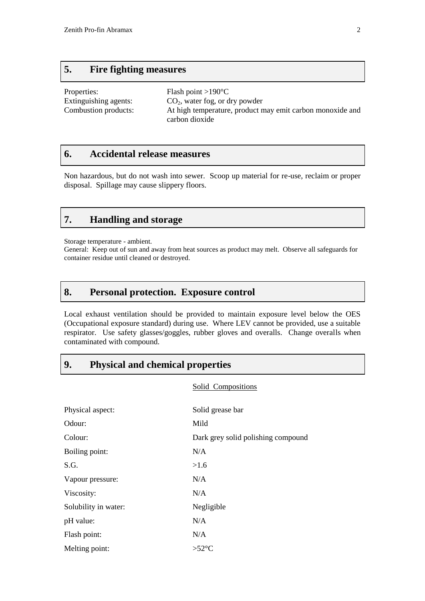### **5. Fire fighting measures**

| Properties:           | Flash point $>190^{\circ}$ C                              |
|-----------------------|-----------------------------------------------------------|
| Extinguishing agents: | $CO2$ , water fog, or dry powder                          |
| Combustion products:  | At high temperature, product may emit carbon monoxide and |
|                       | carbon dioxide                                            |

#### **6. Accidental release measures**

Non hazardous, but do not wash into sewer. Scoop up material for re-use, reclaim or proper disposal. Spillage may cause slippery floors.

### **7. Handling and storage**

Storage temperature - ambient.

General: Keep out of sun and away from heat sources as product may melt. Observe all safeguards for container residue until cleaned or destroyed.

### **8. Personal protection. Exposure control**

Local exhaust ventilation should be provided to maintain exposure level below the OES (Occupational exposure standard) during use. Where LEV cannot be provided, use a suitable respirator. Use safety glasses/goggles, rubber gloves and overalls. Change overalls when contaminated with compound.

### **9. Physical and chemical properties**

Solid Compositions

| Physical aspect:     | Solid grease bar                   |
|----------------------|------------------------------------|
| Odour:               | Mild                               |
| Colour:              | Dark grey solid polishing compound |
| Boiling point:       | N/A                                |
| S.G.                 | >1.6                               |
| Vapour pressure:     | N/A                                |
| Viscosity:           | N/A                                |
| Solubility in water: | Negligible                         |
| pH value:            | N/A                                |
| Flash point:         | N/A                                |
| Melting point:       | $>52^{\circ}C$                     |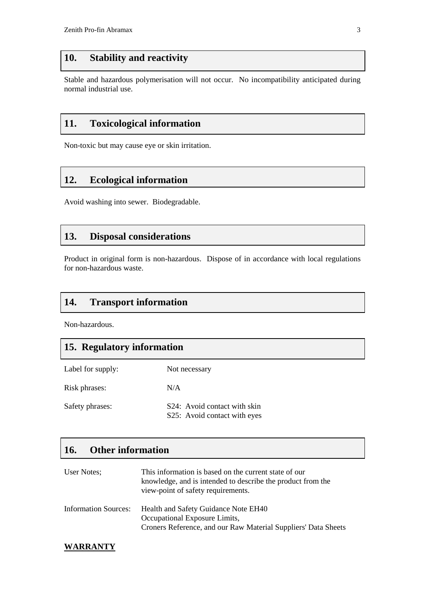# **10. Stability and reactivity**

Stable and hazardous polymerisation will not occur. No incompatibility anticipated during normal industrial use.

### **11. Toxicological information**

Non-toxic but may cause eye or skin irritation.

# **12. Ecological information**

Avoid washing into sewer. Biodegradable.

### **13. Disposal considerations**

Product in original form is non-hazardous. Dispose of in accordance with local regulations for non-hazardous waste.

# **14. Transport information**

Non-hazardous.

### **15. Regulatory information**

| Label for supply: | Not necessary                                                |
|-------------------|--------------------------------------------------------------|
| Risk phrases:     | N/A                                                          |
| Safety phrases:   | S24: Avoid contact with skin<br>S25: Avoid contact with eyes |

# **16. Other information**

| User Notes;                 | This information is based on the current state of our<br>knowledge, and is intended to describe the product from the<br>view-point of safety requirements. |
|-----------------------------|------------------------------------------------------------------------------------------------------------------------------------------------------------|
| <b>Information Sources:</b> | Health and Safety Guidance Note EH40<br>Occupational Exposure Limits,<br>Croners Reference, and our Raw Material Suppliers' Data Sheets                    |

#### **WARRANTY**